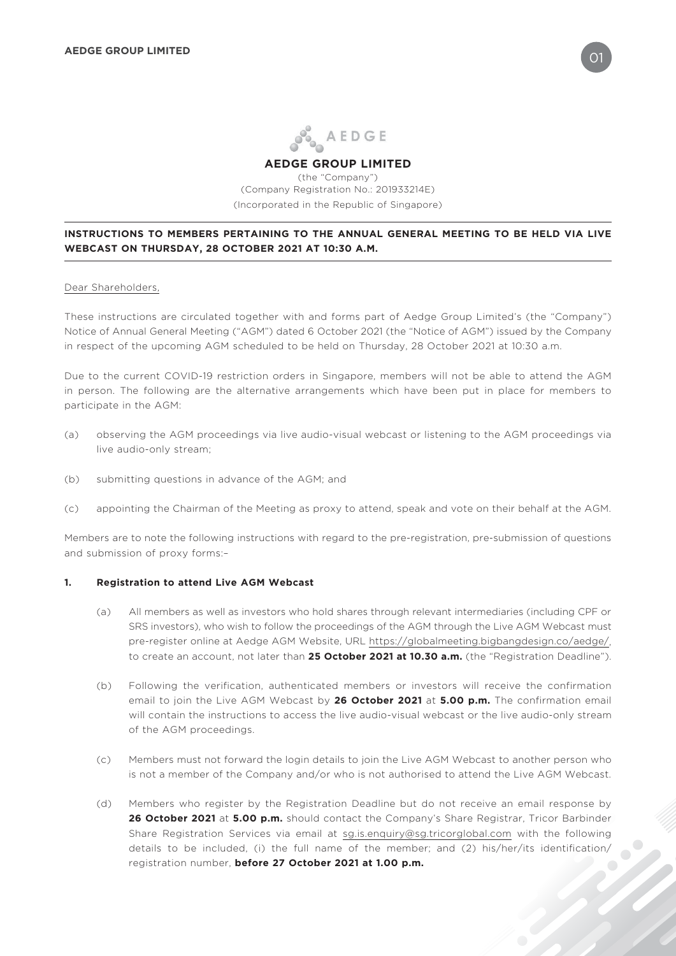

# **AEDGE GROUP LIMITED**

(the "Company") (Company Registration No.: 201933214E) (Incorporated in the Republic of Singapore)

## **INSTRUCTIONS TO MEMBERS PERTAINING TO THE ANNUAL GENERAL MEETING TO BE HELD VIA LIVE WEBCAST ON THURSDAY, 28 OCTOBER 2021 AT 10:30 A.M.**

#### Dear Shareholders,

These instructions are circulated together with and forms part of Aedge Group Limited's (the "Company") Notice of Annual General Meeting ("AGM") dated 6 October 2021 (the "Notice of AGM") issued by the Company in respect of the upcoming AGM scheduled to be held on Thursday, 28 October 2021 at 10:30 a.m.

Due to the current COVID-19 restriction orders in Singapore, members will not be able to attend the AGM in person. The following are the alternative arrangements which have been put in place for members to participate in the AGM:

- (a) observing the AGM proceedings via live audio-visual webcast or listening to the AGM proceedings via live audio-only stream;
- (b) submitting questions in advance of the AGM; and
- (c) appointing the Chairman of the Meeting as proxy to attend, speak and vote on their behalf at the AGM.

Members are to note the following instructions with regard to the pre-registration, pre-submission of questions and submission of proxy forms:–

#### **1. Registration to attend Live AGM Webcast**

- (a) All members as well as investors who hold shares through relevant intermediaries (including CPF or SRS investors), who wish to follow the proceedings of the AGM through the Live AGM Webcast must pre-register online at Aedge AGM Website, URL https://globalmeeting.bigbangdesign.co/aedge/, to create an account, not later than **25 October 2021 at 10.30 a.m.** (the "Registration Deadline").
- (b) Following the verification, authenticated members or investors will receive the confirmation email to join the Live AGM Webcast by **26 October 2021** at **5.00 p.m.** The confirmation email will contain the instructions to access the live audio-visual webcast or the live audio-only stream of the AGM proceedings.
- (c) Members must not forward the login details to join the Live AGM Webcast to another person who is not a member of the Company and/or who is not authorised to attend the Live AGM Webcast.
- (d) Members who register by the Registration Deadline but do not receive an email response by **26 October 2021** at **5.00 p.m.** should contact the Company's Share Registrar, Tricor Barbinder Share Registration Services via email at sg.is.enquiry@sg.tricorglobal.com with the following details to be included, (i) the full name of the member; and (2) his/her/its identification/ registration number, **before 27 October 2021 at 1.00 p.m.**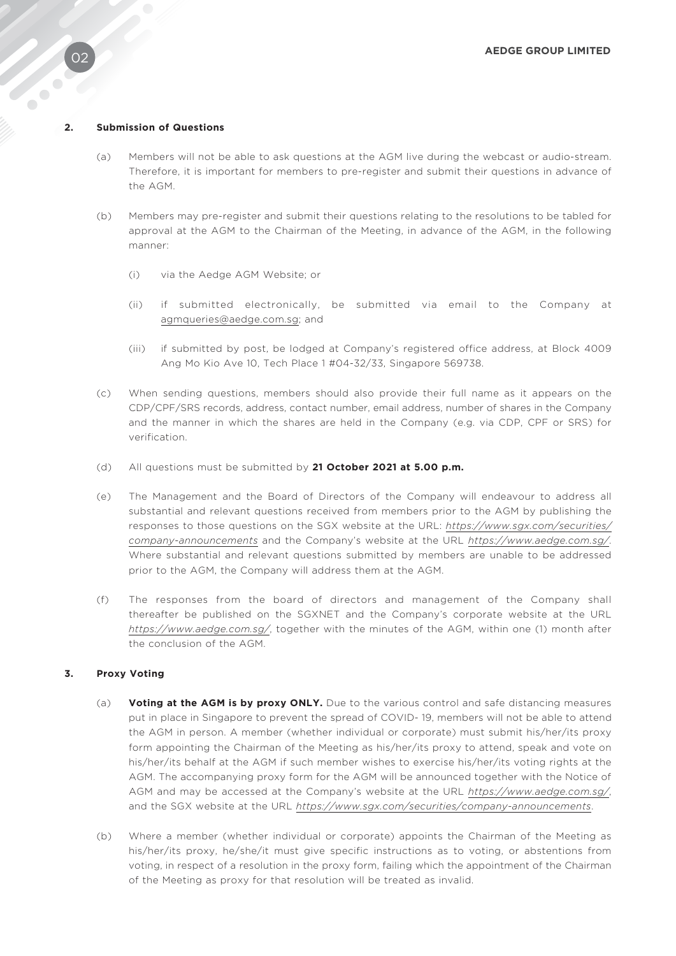#### **2. Submission of Questions**

- (a) Members will not be able to ask questions at the AGM live during the webcast or audio-stream. Therefore, it is important for members to pre-register and submit their questions in advance of the AGM.
- (b) Members may pre-register and submit their questions relating to the resolutions to be tabled for approval at the AGM to the Chairman of the Meeting, in advance of the AGM, in the following manner:
	- (i) via the Aedge AGM Website; or
	- (ii) if submitted electronically, be submitted via email to the Company at agmqueries@aedge.com.sg; and
	- (iii) if submitted by post, be lodged at Company's registered office address, at Block 4009 Ang Mo Kio Ave 10, Tech Place 1 #04-32/33, Singapore 569738.
- (c) When sending questions, members should also provide their full name as it appears on the CDP/CPF/SRS records, address, contact number, email address, number of shares in the Company and the manner in which the shares are held in the Company (e.g. via CDP, CPF or SRS) for verification.
- (d) All questions must be submitted by **21 October 2021 at 5.00 p.m.**
- (e) The Management and the Board of Directors of the Company will endeavour to address all substantial and relevant questions received from members prior to the AGM by publishing the responses to those questions on the SGX website at the URL: *https://www.sgx.com/securities/ company-announcements* and the Company's website at the URL *https://www.aedge.com.sg/*. Where substantial and relevant questions submitted by members are unable to be addressed prior to the AGM, the Company will address them at the AGM.
- (f) The responses from the board of directors and management of the Company shall thereafter be published on the SGXNET and the Company's corporate website at the URL *https://www.aedge.com.sg/*, together with the minutes of the AGM, within one (1) month after the conclusion of the AGM.

#### **3. Proxy Voting**

- (a) **Voting at the AGM is by proxy ONLY.** Due to the various control and safe distancing measures put in place in Singapore to prevent the spread of COVID- 19, members will not be able to attend the AGM in person. A member (whether individual or corporate) must submit his/her/its proxy form appointing the Chairman of the Meeting as his/her/its proxy to attend, speak and vote on his/her/its behalf at the AGM if such member wishes to exercise his/her/its voting rights at the AGM. The accompanying proxy form for the AGM will be announced together with the Notice of AGM and may be accessed at the Company's website at the URL *https://www.aedge.com.sg/*, and the SGX website at the URL *https://www.sgx.com/securities/company-announcements*.
- (b) Where a member (whether individual or corporate) appoints the Chairman of the Meeting as his/her/its proxy, he/she/it must give specific instructions as to voting, or abstentions from voting, in respect of a resolution in the proxy form, failing which the appointment of the Chairman of the Meeting as proxy for that resolution will be treated as invalid.

30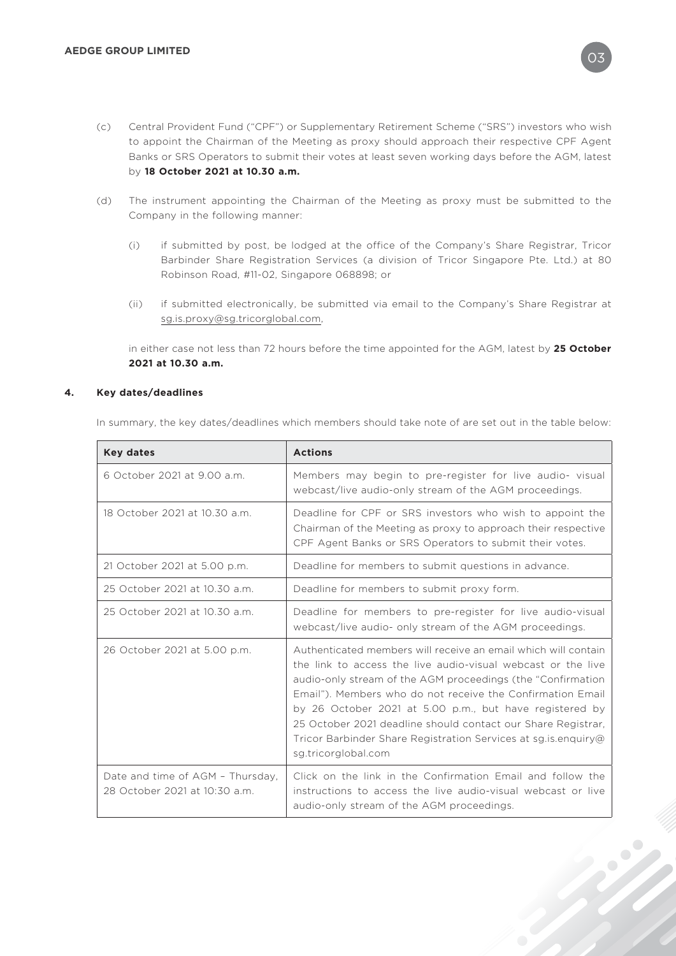- (c) Central Provident Fund ("CPF") or Supplementary Retirement Scheme ("SRS") investors who wish to appoint the Chairman of the Meeting as proxy should approach their respective CPF Agent Banks or SRS Operators to submit their votes at least seven working days before the AGM, latest by **18 October 2021 at 10.30 a.m.**
- (d) The instrument appointing the Chairman of the Meeting as proxy must be submitted to the Company in the following manner:
	- (i) if submitted by post, be lodged at the office of the Company's Share Registrar, Tricor Barbinder Share Registration Services (a division of Tricor Singapore Pte. Ltd.) at 80 Robinson Road, #11-02, Singapore 068898; or
	- (ii) if submitted electronically, be submitted via email to the Company's Share Registrar at sg.is.proxy@sg.tricorglobal.com,

in either case not less than 72 hours before the time appointed for the AGM, latest by **25 October 2021 at 10.30 a.m.**

### **4. Key dates/deadlines**

In summary, the key dates/deadlines which members should take note of are set out in the table below:

| <b>Key dates</b>                                                  | <b>Actions</b>                                                                                                                                                                                                                                                                                                                                                                                                                                                                     |
|-------------------------------------------------------------------|------------------------------------------------------------------------------------------------------------------------------------------------------------------------------------------------------------------------------------------------------------------------------------------------------------------------------------------------------------------------------------------------------------------------------------------------------------------------------------|
| 6 October 2021 at 9.00 a.m.                                       | Members may begin to pre-register for live audio- visual<br>webcast/live audio-only stream of the AGM proceedings.                                                                                                                                                                                                                                                                                                                                                                 |
| 18 October 2021 at 10.30 a.m.                                     | Deadline for CPF or SRS investors who wish to appoint the<br>Chairman of the Meeting as proxy to approach their respective<br>CPF Agent Banks or SRS Operators to submit their votes.                                                                                                                                                                                                                                                                                              |
| 21 October 2021 at 5.00 p.m.                                      | Deadline for members to submit questions in advance.                                                                                                                                                                                                                                                                                                                                                                                                                               |
| 25 October 2021 at 10.30 a.m.                                     | Deadline for members to submit proxy form.                                                                                                                                                                                                                                                                                                                                                                                                                                         |
| 25 October 2021 at 10.30 a.m.                                     | Deadline for members to pre-register for live audio-visual<br>webcast/live audio- only stream of the AGM proceedings.                                                                                                                                                                                                                                                                                                                                                              |
| 26 October 2021 at 5.00 p.m.                                      | Authenticated members will receive an email which will contain<br>the link to access the live audio-visual webcast or the live<br>audio-only stream of the AGM proceedings (the "Confirmation"<br>Email"). Members who do not receive the Confirmation Email<br>by 26 October 2021 at 5.00 p.m., but have registered by<br>25 October 2021 deadline should contact our Share Registrar,<br>Tricor Barbinder Share Registration Services at sg. is. enquiry@<br>sg.tricorglobal.com |
| Date and time of AGM - Thursday,<br>28 October 2021 at 10:30 a.m. | Click on the link in the Confirmation Email and follow the<br>instructions to access the live audio-visual webcast or live<br>audio-only stream of the AGM proceedings.                                                                                                                                                                                                                                                                                                            |